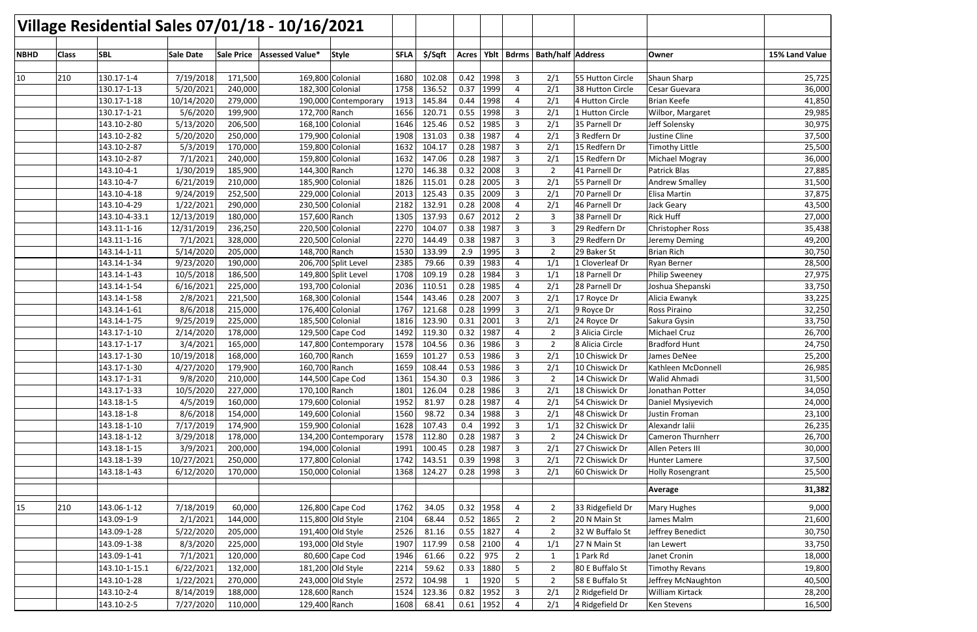| \$/Sqft<br><b>SBL</b><br>Sale Price<br>Assessed Value*<br>Style<br><b>SFLA</b><br>Yblt<br><b>Bdrms   Bath/half   Address</b><br><b>NBHD</b><br><b>Class</b><br><b>Sale Date</b><br>Acres<br>Owner<br>130.17-1-4<br>7/19/2018<br>169,800 Colonial<br>1680<br>102.08<br>0.42<br>1998<br>Shaun Sharp<br>10<br>210<br>171,500<br>3<br>2/1<br>55 Hutton Circle<br>0.37<br>5/20/2021<br>1758<br>1999<br>130.17-1-13<br>182,300 Colonial<br>136.52<br>$\overline{4}$<br>2/1<br>38 Hutton Circle<br>240,000<br>Cesar Guevara<br>0.44<br>1998<br>10/14/2020<br>279,000<br>1913<br>2/1<br><b>Brian Keefe</b><br>130.17-1-18<br>145.84<br>4<br>4 Hutton Circle<br>190,000 Contemporary<br>5/6/2020<br>0.55<br>1998<br>3<br>130.17-1-21<br>199,900<br>172,700 Ranch<br>1656<br>120.71<br>2/1<br>1 Hutton Circle<br>Wilbor, Margaret<br>0.52<br>1985<br>3<br>143.10-2-80<br>5/13/2020<br>206,500<br>168,100 Colonial<br>1646<br>125.46<br>2/1<br>35 Parnell Dr<br>Jeff Solensky<br>0.38<br>1987<br>5/20/2020<br>250,000<br>1908<br>131.03<br>2/1<br>3 Redfern Dr<br>Justine Cline<br>143.10-2-82<br>179,900 Colonial<br>4<br>1632<br>0.28<br>1987<br>15 Redfern Dr<br>143.10-2-87<br>5/3/2019<br>170,000<br>159,800 Colonial<br>104.17<br>3<br>2/1<br><b>Timothy Little</b><br>0.28<br>1987<br>7/1/2021<br>240,000<br>1632<br>147.06<br>3<br>2/1<br>15 Redfern Dr<br>143.10-2-87<br>159,800 Colonial<br>Michael Mogray<br>0.32<br>2008<br>1/30/2019<br>185,900<br>144,300 Ranch<br>1270<br>146.38<br>3<br>143.10-4-1<br>2<br>41 Parnell Dr<br>Patrick Blas<br>0.28<br>2005<br>143.10-4-7<br>6/21/2019<br>210,000<br>1826<br>3<br>2/1<br>185,900 Colonial<br>115.01<br>55 Parnell Dr<br><b>Andrew Smalley</b><br>0.35<br>2009<br>3<br>2013<br>2/1<br>143.10-4-18<br>9/24/2019<br>252,500<br>229,000 Colonial<br>125.43<br>70 Parnell Dr<br>Elisa Martin<br>143.10-4-29<br>2182<br>132.91<br>0.28<br>2008<br>2/1<br>1/22/2021<br>290,000<br>230,500 Colonial<br>46 Parnell Dr<br>4<br>Jack Geary<br>0.67<br>2012<br><b>Rick Huff</b><br>143.10-4-33.1<br>12/13/2019<br>180,000<br>157,600 Ranch<br>1305<br>137.93<br>$\overline{2}$<br>3<br>38 Parnell Dr<br>2270<br>0.38<br>1987<br>29 Redfern Dr<br>143.11-1-16<br>12/31/2019<br>236,250<br>220,500 Colonial<br>104.07<br>3<br><b>Christopher Ross</b><br>3<br>0.38<br>1987<br>7/1/2021<br>328,000<br>2270<br>144.49<br>3<br>143.11-1-16<br>220,500 Colonial<br>3<br>29 Redfern Dr<br>Jeremy Deming<br>2.9<br>1995<br>3<br>143.14-1-11<br>5/14/2020<br>148,700 Ranch<br>1530<br>133.99<br>29 Baker St<br><b>Brian Rich</b><br>205,000<br>$\overline{2}$<br>0.39<br>1983<br>143.14-1-34<br>9/23/2020<br>190,000<br>206,700 Split Level<br>2385<br>79.66<br>1/1<br>4<br>1 Cloverleaf Dr<br><b>Ryan Berner</b><br>0.28<br>10/5/2018<br>186,500<br>1708<br>109.19<br>1984<br>3<br>143.14-1-43<br>149,800 Split Level<br>1/1<br>18 Parnell Dr<br><b>Philip Sweeney</b><br>0.28<br>6/16/2021<br>1985<br>2/1<br>28 Parnell Dr<br>Joshua Shepanski<br>143.14-1-54<br>225,000<br>193,700 Colonial<br>2036<br>110.51<br>4<br>0.28<br>2007<br>2/8/2021<br>1544<br>143.46<br>2/1<br>143.14-1-58<br>221,500<br>168,300 Colonial<br>3<br>17 Royce Dr<br>Alicia Ewanyk<br>1767<br>0.28<br>1999<br>3<br>8/6/2018<br>121.68<br>2/1<br>Ross Piraino<br>143.14-1-61<br>215,000<br>176,400 Colonial<br>9 Royce Dr<br>0.31<br>9/25/2019<br>1816<br>123.90<br>2001<br>3<br>2/1<br>143.14-1-75<br>225,000<br>185,500 Colonial<br>24 Royce Dr<br>Sakura Gysin<br>129,500 Cape Cod<br>0.32<br>1987<br>143.17-1-10<br>2/14/2020<br>178,000<br>1492<br>119.30<br>3 Alicia Circle<br>Michael Cruz<br>4<br>2<br>0.36<br>1986<br>3<br>143.17-1-17<br>3/4/2021<br>165,000<br>1578<br>104.56<br>$\overline{2}$<br>8 Alicia Circle<br><b>Bradford Hunt</b><br>147,800 Contemporary<br>0.53<br>1986<br>2/1<br>143.17-1-30<br>10/19/2018<br>168,000<br>1659<br>101.27<br>3<br>160,700 Ranch<br>10 Chiswick Dr<br>James DeNee<br>4/27/2020<br>1659<br>108.44<br>0.53<br>1986<br>143.17-1-30<br>179,900<br>160,700 Ranch<br>$\overline{\mathbf{a}}$<br>2/1<br>10 Chiswick Dr<br>Kathleen McDonnell<br>ر<br>1986<br>9/8/2020<br>144,500 Cape Cod<br>154.30<br>3<br>143.17-1-31<br>210,000<br>1361<br>0.3<br>2<br>14 Chiswick Dr<br>Walid Ahmadi<br>0.28<br>1986<br>$\mathbf{3}$<br>143.17-1-33<br>10/5/2020<br>227,000<br>$170,100$ Ranch<br>1801<br>126.04<br>2/1<br>18 Chiswick Dr<br>Jonathan Potter<br>4/5/2019<br>160,000<br>179,600 Colonial<br>0.28<br>1987<br>2/1<br>54 Chiswick Dr<br>Daniel Mysiyevich<br>143.18-1-5<br>1952<br>81.97<br>4<br>8/6/2018<br>154,000<br>149,600 Colonial<br>98.72<br>0.34<br>1988<br>3<br>48 Chiswick Dr<br>Justin Froman<br>143.18-1-8<br>1560<br>2/1<br>Alexandr Ialii<br>143.18-1-10<br>7/17/2019<br>159,900 Colonial<br>107.43<br>1992<br>$\mathbf{3}$<br>32 Chiswick Dr<br>174,900<br>1628<br>0.4<br>1/1<br>0.28<br>1987<br>143.18-1-12<br>3/29/2018<br>178,000<br>134,200 Contemporary<br>1578<br>112.80<br>3<br>24 Chiswick Dr<br><b>Cameron Thurnherr</b><br>$\overline{2}$<br>3/9/2021<br>0.28<br>1987<br>27 Chiswick Dr<br>143.18-1-15<br>200,000<br>194,000 Colonial<br>1991<br>100.45<br>$\mathbf{3}$<br>2/1<br>Allen Peters III<br>0.39<br>143.18-1-39<br>10/27/2021<br>250,000<br>177,800 Colonial<br>1742<br>1998<br>3<br>2/1<br>72 Chiswick Dr<br>143.51<br>Hunter Lamere<br>6/12/2020<br>150,000 Colonial<br>124.27<br>0.28<br>1998<br>$\mathbf{3}$<br>60 Chiswick Dr<br>143.18-1-43<br>170,000<br>1368<br>2/1<br><b>Holly Rosengrant</b><br>Average<br>15<br>126,800 Cape Cod<br>210<br>143.06-1-12<br>7/18/2019<br>60,000<br>1762<br>0.32<br>1958<br>33 Ridgefield Dr<br><b>Mary Hughes</b><br>34.05<br>4<br>$\overline{2}$<br>1865<br>143.09-1-9<br>2/1/2021<br>0.52<br>$2^{\circ}$<br>20 N Main St<br>James Malm<br>144,000<br>115,800 Old Style<br>2104<br>68.44<br>$\overline{2}$<br>0.55<br>1827<br>143.09-1-28<br>5/22/2020<br>205,000<br>191,400 Old Style<br>81.16<br>32 W Buffalo St<br>Jeffrey Benedict<br>2526<br>4<br>$\overline{2}$<br>8/3/2020<br>117.99<br>0.58<br>2100<br>143.09-1-38<br>225,000<br>193,000 Old Style<br>1907<br>4<br>1/1<br>27 N Main St<br>lan Lewert<br>143.09-1-41<br>7/1/2021<br>120,000<br>80,600 Cape Cod<br>0.22<br>975<br>1946<br>61.66<br>$\overline{2}$<br>1 Park Rd<br>Janet Cronin<br>$\mathbf{1}$<br>1880<br>80 E Buffalo St<br>143.10-1-15.1<br>6/22/2021<br>132,000<br>181,200 Old Style<br>2214<br>59.62<br>0.33<br>5<br><b>Timothy Revans</b><br>$\overline{2}$<br>1920<br>143.10-1-28<br>243,000 Old Style<br>104.98<br>58 E Buffalo St<br>1/22/2021<br>270,000<br>2572<br>5<br>$\overline{2}$<br>Jeffrey McNaughton<br>1<br>8/14/2019<br>0.82<br>1952<br>2 Ridgefield Dr<br>William Kirtack<br>143.10-2-4<br>188,000<br>128,600 Ranch<br>1524<br>123.36<br>3<br>2/1<br>$0.61$   1952<br>129,400 Ranch |  | Village Residential Sales 07/01/18 - 10/16/2021 |           |         |  |      |       |  |   |     |                 |             |                |
|------------------------------------------------------------------------------------------------------------------------------------------------------------------------------------------------------------------------------------------------------------------------------------------------------------------------------------------------------------------------------------------------------------------------------------------------------------------------------------------------------------------------------------------------------------------------------------------------------------------------------------------------------------------------------------------------------------------------------------------------------------------------------------------------------------------------------------------------------------------------------------------------------------------------------------------------------------------------------------------------------------------------------------------------------------------------------------------------------------------------------------------------------------------------------------------------------------------------------------------------------------------------------------------------------------------------------------------------------------------------------------------------------------------------------------------------------------------------------------------------------------------------------------------------------------------------------------------------------------------------------------------------------------------------------------------------------------------------------------------------------------------------------------------------------------------------------------------------------------------------------------------------------------------------------------------------------------------------------------------------------------------------------------------------------------------------------------------------------------------------------------------------------------------------------------------------------------------------------------------------------------------------------------------------------------------------------------------------------------------------------------------------------------------------------------------------------------------------------------------------------------------------------------------------------------------------------------------------------------------------------------------------------------------------------------------------------------------------------------------------------------------------------------------------------------------------------------------------------------------------------------------------------------------------------------------------------------------------------------------------------------------------------------------------------------------------------------------------------------------------------------------------------------------------------------------------------------------------------------------------------------------------------------------------------------------------------------------------------------------------------------------------------------------------------------------------------------------------------------------------------------------------------------------------------------------------------------------------------------------------------------------------------------------------------------------------------------------------------------------------------------------------------------------------------------------------------------------------------------------------------------------------------------------------------------------------------------------------------------------------------------------------------------------------------------------------------------------------------------------------------------------------------------------------------------------------------------------------------------------------------------------------------------------------------------------------------------------------------------------------------------------------------------------------------------------------------------------------------------------------------------------------------------------------------------------------------------------------------------------------------------------------------------------------------------------------------------------------------------------------------------------------------------------------------------------------------------------------------------------------------------------------------------------------------------------------------------------------------------------------------------------------------------------------------------------------------------------------------------------------------------------------------------------------------------------------------------------------------------------------------------------------------------------------------------------------------------------------------------------------------------------------------------------------------------------------------------------------------------------------------------------------------------------------------------------------------------------------------------------------------------------------------------------------------------------------------------------------------------------------------------------------------------------------------------------------------------------------------------------------------------------------------------------------------------------------------------------------------------------------------------------------------------------------------------------------------------------------------------------------------------------------------------------------------------------------------------------------------------------------------------------------------------------------------------------------------------------------------------------------------------------------------------------------------------------------------------------------------------------------------------------------------------------------------------------------------------------------------------------------------------------------------------------------------------------------------------------------------------------------------------------------------------------------------------------|--|-------------------------------------------------|-----------|---------|--|------|-------|--|---|-----|-----------------|-------------|----------------|
|                                                                                                                                                                                                                                                                                                                                                                                                                                                                                                                                                                                                                                                                                                                                                                                                                                                                                                                                                                                                                                                                                                                                                                                                                                                                                                                                                                                                                                                                                                                                                                                                                                                                                                                                                                                                                                                                                                                                                                                                                                                                                                                                                                                                                                                                                                                                                                                                                                                                                                                                                                                                                                                                                                                                                                                                                                                                                                                                                                                                                                                                                                                                                                                                                                                                                                                                                                                                                                                                                                                                                                                                                                                                                                                                                                                                                                                                                                                                                                                                                                                                                                                                                                                                                                                                                                                                                                                                                                                                                                                                                                                                                                                                                                                                                                                                                                                                                                                                                                                                                                                                                                                                                                                                                                                                                                                                                                                                                                                                                                                                                                                                                                                                                                                                                                                                                                                                                                                                                                                                                                                                                                                                                                                                                                                                                                                                                                                                                                                                                                                                                                                                                                                                                                                                                                                                                  |  |                                                 |           |         |  |      |       |  |   |     |                 |             |                |
|                                                                                                                                                                                                                                                                                                                                                                                                                                                                                                                                                                                                                                                                                                                                                                                                                                                                                                                                                                                                                                                                                                                                                                                                                                                                                                                                                                                                                                                                                                                                                                                                                                                                                                                                                                                                                                                                                                                                                                                                                                                                                                                                                                                                                                                                                                                                                                                                                                                                                                                                                                                                                                                                                                                                                                                                                                                                                                                                                                                                                                                                                                                                                                                                                                                                                                                                                                                                                                                                                                                                                                                                                                                                                                                                                                                                                                                                                                                                                                                                                                                                                                                                                                                                                                                                                                                                                                                                                                                                                                                                                                                                                                                                                                                                                                                                                                                                                                                                                                                                                                                                                                                                                                                                                                                                                                                                                                                                                                                                                                                                                                                                                                                                                                                                                                                                                                                                                                                                                                                                                                                                                                                                                                                                                                                                                                                                                                                                                                                                                                                                                                                                                                                                                                                                                                                                                  |  |                                                 |           |         |  |      |       |  |   |     |                 |             | 15% Land Value |
|                                                                                                                                                                                                                                                                                                                                                                                                                                                                                                                                                                                                                                                                                                                                                                                                                                                                                                                                                                                                                                                                                                                                                                                                                                                                                                                                                                                                                                                                                                                                                                                                                                                                                                                                                                                                                                                                                                                                                                                                                                                                                                                                                                                                                                                                                                                                                                                                                                                                                                                                                                                                                                                                                                                                                                                                                                                                                                                                                                                                                                                                                                                                                                                                                                                                                                                                                                                                                                                                                                                                                                                                                                                                                                                                                                                                                                                                                                                                                                                                                                                                                                                                                                                                                                                                                                                                                                                                                                                                                                                                                                                                                                                                                                                                                                                                                                                                                                                                                                                                                                                                                                                                                                                                                                                                                                                                                                                                                                                                                                                                                                                                                                                                                                                                                                                                                                                                                                                                                                                                                                                                                                                                                                                                                                                                                                                                                                                                                                                                                                                                                                                                                                                                                                                                                                                                                  |  |                                                 |           |         |  |      |       |  |   |     |                 |             |                |
|                                                                                                                                                                                                                                                                                                                                                                                                                                                                                                                                                                                                                                                                                                                                                                                                                                                                                                                                                                                                                                                                                                                                                                                                                                                                                                                                                                                                                                                                                                                                                                                                                                                                                                                                                                                                                                                                                                                                                                                                                                                                                                                                                                                                                                                                                                                                                                                                                                                                                                                                                                                                                                                                                                                                                                                                                                                                                                                                                                                                                                                                                                                                                                                                                                                                                                                                                                                                                                                                                                                                                                                                                                                                                                                                                                                                                                                                                                                                                                                                                                                                                                                                                                                                                                                                                                                                                                                                                                                                                                                                                                                                                                                                                                                                                                                                                                                                                                                                                                                                                                                                                                                                                                                                                                                                                                                                                                                                                                                                                                                                                                                                                                                                                                                                                                                                                                                                                                                                                                                                                                                                                                                                                                                                                                                                                                                                                                                                                                                                                                                                                                                                                                                                                                                                                                                                                  |  |                                                 |           |         |  |      |       |  |   |     |                 |             | 25,725         |
|                                                                                                                                                                                                                                                                                                                                                                                                                                                                                                                                                                                                                                                                                                                                                                                                                                                                                                                                                                                                                                                                                                                                                                                                                                                                                                                                                                                                                                                                                                                                                                                                                                                                                                                                                                                                                                                                                                                                                                                                                                                                                                                                                                                                                                                                                                                                                                                                                                                                                                                                                                                                                                                                                                                                                                                                                                                                                                                                                                                                                                                                                                                                                                                                                                                                                                                                                                                                                                                                                                                                                                                                                                                                                                                                                                                                                                                                                                                                                                                                                                                                                                                                                                                                                                                                                                                                                                                                                                                                                                                                                                                                                                                                                                                                                                                                                                                                                                                                                                                                                                                                                                                                                                                                                                                                                                                                                                                                                                                                                                                                                                                                                                                                                                                                                                                                                                                                                                                                                                                                                                                                                                                                                                                                                                                                                                                                                                                                                                                                                                                                                                                                                                                                                                                                                                                                                  |  |                                                 |           |         |  |      |       |  |   |     |                 |             | 36,000         |
|                                                                                                                                                                                                                                                                                                                                                                                                                                                                                                                                                                                                                                                                                                                                                                                                                                                                                                                                                                                                                                                                                                                                                                                                                                                                                                                                                                                                                                                                                                                                                                                                                                                                                                                                                                                                                                                                                                                                                                                                                                                                                                                                                                                                                                                                                                                                                                                                                                                                                                                                                                                                                                                                                                                                                                                                                                                                                                                                                                                                                                                                                                                                                                                                                                                                                                                                                                                                                                                                                                                                                                                                                                                                                                                                                                                                                                                                                                                                                                                                                                                                                                                                                                                                                                                                                                                                                                                                                                                                                                                                                                                                                                                                                                                                                                                                                                                                                                                                                                                                                                                                                                                                                                                                                                                                                                                                                                                                                                                                                                                                                                                                                                                                                                                                                                                                                                                                                                                                                                                                                                                                                                                                                                                                                                                                                                                                                                                                                                                                                                                                                                                                                                                                                                                                                                                                                  |  |                                                 |           |         |  |      |       |  |   |     |                 |             | 41,850         |
|                                                                                                                                                                                                                                                                                                                                                                                                                                                                                                                                                                                                                                                                                                                                                                                                                                                                                                                                                                                                                                                                                                                                                                                                                                                                                                                                                                                                                                                                                                                                                                                                                                                                                                                                                                                                                                                                                                                                                                                                                                                                                                                                                                                                                                                                                                                                                                                                                                                                                                                                                                                                                                                                                                                                                                                                                                                                                                                                                                                                                                                                                                                                                                                                                                                                                                                                                                                                                                                                                                                                                                                                                                                                                                                                                                                                                                                                                                                                                                                                                                                                                                                                                                                                                                                                                                                                                                                                                                                                                                                                                                                                                                                                                                                                                                                                                                                                                                                                                                                                                                                                                                                                                                                                                                                                                                                                                                                                                                                                                                                                                                                                                                                                                                                                                                                                                                                                                                                                                                                                                                                                                                                                                                                                                                                                                                                                                                                                                                                                                                                                                                                                                                                                                                                                                                                                                  |  |                                                 |           |         |  |      |       |  |   |     |                 |             | 29,985         |
|                                                                                                                                                                                                                                                                                                                                                                                                                                                                                                                                                                                                                                                                                                                                                                                                                                                                                                                                                                                                                                                                                                                                                                                                                                                                                                                                                                                                                                                                                                                                                                                                                                                                                                                                                                                                                                                                                                                                                                                                                                                                                                                                                                                                                                                                                                                                                                                                                                                                                                                                                                                                                                                                                                                                                                                                                                                                                                                                                                                                                                                                                                                                                                                                                                                                                                                                                                                                                                                                                                                                                                                                                                                                                                                                                                                                                                                                                                                                                                                                                                                                                                                                                                                                                                                                                                                                                                                                                                                                                                                                                                                                                                                                                                                                                                                                                                                                                                                                                                                                                                                                                                                                                                                                                                                                                                                                                                                                                                                                                                                                                                                                                                                                                                                                                                                                                                                                                                                                                                                                                                                                                                                                                                                                                                                                                                                                                                                                                                                                                                                                                                                                                                                                                                                                                                                                                  |  |                                                 |           |         |  |      |       |  |   |     |                 |             | 30,975         |
|                                                                                                                                                                                                                                                                                                                                                                                                                                                                                                                                                                                                                                                                                                                                                                                                                                                                                                                                                                                                                                                                                                                                                                                                                                                                                                                                                                                                                                                                                                                                                                                                                                                                                                                                                                                                                                                                                                                                                                                                                                                                                                                                                                                                                                                                                                                                                                                                                                                                                                                                                                                                                                                                                                                                                                                                                                                                                                                                                                                                                                                                                                                                                                                                                                                                                                                                                                                                                                                                                                                                                                                                                                                                                                                                                                                                                                                                                                                                                                                                                                                                                                                                                                                                                                                                                                                                                                                                                                                                                                                                                                                                                                                                                                                                                                                                                                                                                                                                                                                                                                                                                                                                                                                                                                                                                                                                                                                                                                                                                                                                                                                                                                                                                                                                                                                                                                                                                                                                                                                                                                                                                                                                                                                                                                                                                                                                                                                                                                                                                                                                                                                                                                                                                                                                                                                                                  |  |                                                 |           |         |  |      |       |  |   |     |                 |             | 37,500         |
|                                                                                                                                                                                                                                                                                                                                                                                                                                                                                                                                                                                                                                                                                                                                                                                                                                                                                                                                                                                                                                                                                                                                                                                                                                                                                                                                                                                                                                                                                                                                                                                                                                                                                                                                                                                                                                                                                                                                                                                                                                                                                                                                                                                                                                                                                                                                                                                                                                                                                                                                                                                                                                                                                                                                                                                                                                                                                                                                                                                                                                                                                                                                                                                                                                                                                                                                                                                                                                                                                                                                                                                                                                                                                                                                                                                                                                                                                                                                                                                                                                                                                                                                                                                                                                                                                                                                                                                                                                                                                                                                                                                                                                                                                                                                                                                                                                                                                                                                                                                                                                                                                                                                                                                                                                                                                                                                                                                                                                                                                                                                                                                                                                                                                                                                                                                                                                                                                                                                                                                                                                                                                                                                                                                                                                                                                                                                                                                                                                                                                                                                                                                                                                                                                                                                                                                                                  |  |                                                 |           |         |  |      |       |  |   |     |                 |             | 25,500         |
|                                                                                                                                                                                                                                                                                                                                                                                                                                                                                                                                                                                                                                                                                                                                                                                                                                                                                                                                                                                                                                                                                                                                                                                                                                                                                                                                                                                                                                                                                                                                                                                                                                                                                                                                                                                                                                                                                                                                                                                                                                                                                                                                                                                                                                                                                                                                                                                                                                                                                                                                                                                                                                                                                                                                                                                                                                                                                                                                                                                                                                                                                                                                                                                                                                                                                                                                                                                                                                                                                                                                                                                                                                                                                                                                                                                                                                                                                                                                                                                                                                                                                                                                                                                                                                                                                                                                                                                                                                                                                                                                                                                                                                                                                                                                                                                                                                                                                                                                                                                                                                                                                                                                                                                                                                                                                                                                                                                                                                                                                                                                                                                                                                                                                                                                                                                                                                                                                                                                                                                                                                                                                                                                                                                                                                                                                                                                                                                                                                                                                                                                                                                                                                                                                                                                                                                                                  |  |                                                 |           |         |  |      |       |  |   |     |                 |             | 36,000         |
|                                                                                                                                                                                                                                                                                                                                                                                                                                                                                                                                                                                                                                                                                                                                                                                                                                                                                                                                                                                                                                                                                                                                                                                                                                                                                                                                                                                                                                                                                                                                                                                                                                                                                                                                                                                                                                                                                                                                                                                                                                                                                                                                                                                                                                                                                                                                                                                                                                                                                                                                                                                                                                                                                                                                                                                                                                                                                                                                                                                                                                                                                                                                                                                                                                                                                                                                                                                                                                                                                                                                                                                                                                                                                                                                                                                                                                                                                                                                                                                                                                                                                                                                                                                                                                                                                                                                                                                                                                                                                                                                                                                                                                                                                                                                                                                                                                                                                                                                                                                                                                                                                                                                                                                                                                                                                                                                                                                                                                                                                                                                                                                                                                                                                                                                                                                                                                                                                                                                                                                                                                                                                                                                                                                                                                                                                                                                                                                                                                                                                                                                                                                                                                                                                                                                                                                                                  |  |                                                 |           |         |  |      |       |  |   |     |                 |             | 27,885         |
|                                                                                                                                                                                                                                                                                                                                                                                                                                                                                                                                                                                                                                                                                                                                                                                                                                                                                                                                                                                                                                                                                                                                                                                                                                                                                                                                                                                                                                                                                                                                                                                                                                                                                                                                                                                                                                                                                                                                                                                                                                                                                                                                                                                                                                                                                                                                                                                                                                                                                                                                                                                                                                                                                                                                                                                                                                                                                                                                                                                                                                                                                                                                                                                                                                                                                                                                                                                                                                                                                                                                                                                                                                                                                                                                                                                                                                                                                                                                                                                                                                                                                                                                                                                                                                                                                                                                                                                                                                                                                                                                                                                                                                                                                                                                                                                                                                                                                                                                                                                                                                                                                                                                                                                                                                                                                                                                                                                                                                                                                                                                                                                                                                                                                                                                                                                                                                                                                                                                                                                                                                                                                                                                                                                                                                                                                                                                                                                                                                                                                                                                                                                                                                                                                                                                                                                                                  |  |                                                 |           |         |  |      |       |  |   |     |                 |             | 31,500         |
|                                                                                                                                                                                                                                                                                                                                                                                                                                                                                                                                                                                                                                                                                                                                                                                                                                                                                                                                                                                                                                                                                                                                                                                                                                                                                                                                                                                                                                                                                                                                                                                                                                                                                                                                                                                                                                                                                                                                                                                                                                                                                                                                                                                                                                                                                                                                                                                                                                                                                                                                                                                                                                                                                                                                                                                                                                                                                                                                                                                                                                                                                                                                                                                                                                                                                                                                                                                                                                                                                                                                                                                                                                                                                                                                                                                                                                                                                                                                                                                                                                                                                                                                                                                                                                                                                                                                                                                                                                                                                                                                                                                                                                                                                                                                                                                                                                                                                                                                                                                                                                                                                                                                                                                                                                                                                                                                                                                                                                                                                                                                                                                                                                                                                                                                                                                                                                                                                                                                                                                                                                                                                                                                                                                                                                                                                                                                                                                                                                                                                                                                                                                                                                                                                                                                                                                                                  |  |                                                 |           |         |  |      |       |  |   |     |                 |             | 37,875         |
|                                                                                                                                                                                                                                                                                                                                                                                                                                                                                                                                                                                                                                                                                                                                                                                                                                                                                                                                                                                                                                                                                                                                                                                                                                                                                                                                                                                                                                                                                                                                                                                                                                                                                                                                                                                                                                                                                                                                                                                                                                                                                                                                                                                                                                                                                                                                                                                                                                                                                                                                                                                                                                                                                                                                                                                                                                                                                                                                                                                                                                                                                                                                                                                                                                                                                                                                                                                                                                                                                                                                                                                                                                                                                                                                                                                                                                                                                                                                                                                                                                                                                                                                                                                                                                                                                                                                                                                                                                                                                                                                                                                                                                                                                                                                                                                                                                                                                                                                                                                                                                                                                                                                                                                                                                                                                                                                                                                                                                                                                                                                                                                                                                                                                                                                                                                                                                                                                                                                                                                                                                                                                                                                                                                                                                                                                                                                                                                                                                                                                                                                                                                                                                                                                                                                                                                                                  |  |                                                 |           |         |  |      |       |  |   |     |                 |             | 43,500         |
|                                                                                                                                                                                                                                                                                                                                                                                                                                                                                                                                                                                                                                                                                                                                                                                                                                                                                                                                                                                                                                                                                                                                                                                                                                                                                                                                                                                                                                                                                                                                                                                                                                                                                                                                                                                                                                                                                                                                                                                                                                                                                                                                                                                                                                                                                                                                                                                                                                                                                                                                                                                                                                                                                                                                                                                                                                                                                                                                                                                                                                                                                                                                                                                                                                                                                                                                                                                                                                                                                                                                                                                                                                                                                                                                                                                                                                                                                                                                                                                                                                                                                                                                                                                                                                                                                                                                                                                                                                                                                                                                                                                                                                                                                                                                                                                                                                                                                                                                                                                                                                                                                                                                                                                                                                                                                                                                                                                                                                                                                                                                                                                                                                                                                                                                                                                                                                                                                                                                                                                                                                                                                                                                                                                                                                                                                                                                                                                                                                                                                                                                                                                                                                                                                                                                                                                                                  |  |                                                 |           |         |  |      |       |  |   |     |                 |             | 27,000         |
|                                                                                                                                                                                                                                                                                                                                                                                                                                                                                                                                                                                                                                                                                                                                                                                                                                                                                                                                                                                                                                                                                                                                                                                                                                                                                                                                                                                                                                                                                                                                                                                                                                                                                                                                                                                                                                                                                                                                                                                                                                                                                                                                                                                                                                                                                                                                                                                                                                                                                                                                                                                                                                                                                                                                                                                                                                                                                                                                                                                                                                                                                                                                                                                                                                                                                                                                                                                                                                                                                                                                                                                                                                                                                                                                                                                                                                                                                                                                                                                                                                                                                                                                                                                                                                                                                                                                                                                                                                                                                                                                                                                                                                                                                                                                                                                                                                                                                                                                                                                                                                                                                                                                                                                                                                                                                                                                                                                                                                                                                                                                                                                                                                                                                                                                                                                                                                                                                                                                                                                                                                                                                                                                                                                                                                                                                                                                                                                                                                                                                                                                                                                                                                                                                                                                                                                                                  |  |                                                 |           |         |  |      |       |  |   |     |                 |             | 35,438         |
|                                                                                                                                                                                                                                                                                                                                                                                                                                                                                                                                                                                                                                                                                                                                                                                                                                                                                                                                                                                                                                                                                                                                                                                                                                                                                                                                                                                                                                                                                                                                                                                                                                                                                                                                                                                                                                                                                                                                                                                                                                                                                                                                                                                                                                                                                                                                                                                                                                                                                                                                                                                                                                                                                                                                                                                                                                                                                                                                                                                                                                                                                                                                                                                                                                                                                                                                                                                                                                                                                                                                                                                                                                                                                                                                                                                                                                                                                                                                                                                                                                                                                                                                                                                                                                                                                                                                                                                                                                                                                                                                                                                                                                                                                                                                                                                                                                                                                                                                                                                                                                                                                                                                                                                                                                                                                                                                                                                                                                                                                                                                                                                                                                                                                                                                                                                                                                                                                                                                                                                                                                                                                                                                                                                                                                                                                                                                                                                                                                                                                                                                                                                                                                                                                                                                                                                                                  |  |                                                 |           |         |  |      |       |  |   |     |                 |             | 49,200         |
|                                                                                                                                                                                                                                                                                                                                                                                                                                                                                                                                                                                                                                                                                                                                                                                                                                                                                                                                                                                                                                                                                                                                                                                                                                                                                                                                                                                                                                                                                                                                                                                                                                                                                                                                                                                                                                                                                                                                                                                                                                                                                                                                                                                                                                                                                                                                                                                                                                                                                                                                                                                                                                                                                                                                                                                                                                                                                                                                                                                                                                                                                                                                                                                                                                                                                                                                                                                                                                                                                                                                                                                                                                                                                                                                                                                                                                                                                                                                                                                                                                                                                                                                                                                                                                                                                                                                                                                                                                                                                                                                                                                                                                                                                                                                                                                                                                                                                                                                                                                                                                                                                                                                                                                                                                                                                                                                                                                                                                                                                                                                                                                                                                                                                                                                                                                                                                                                                                                                                                                                                                                                                                                                                                                                                                                                                                                                                                                                                                                                                                                                                                                                                                                                                                                                                                                                                  |  |                                                 |           |         |  |      |       |  |   |     |                 |             | 30,750         |
|                                                                                                                                                                                                                                                                                                                                                                                                                                                                                                                                                                                                                                                                                                                                                                                                                                                                                                                                                                                                                                                                                                                                                                                                                                                                                                                                                                                                                                                                                                                                                                                                                                                                                                                                                                                                                                                                                                                                                                                                                                                                                                                                                                                                                                                                                                                                                                                                                                                                                                                                                                                                                                                                                                                                                                                                                                                                                                                                                                                                                                                                                                                                                                                                                                                                                                                                                                                                                                                                                                                                                                                                                                                                                                                                                                                                                                                                                                                                                                                                                                                                                                                                                                                                                                                                                                                                                                                                                                                                                                                                                                                                                                                                                                                                                                                                                                                                                                                                                                                                                                                                                                                                                                                                                                                                                                                                                                                                                                                                                                                                                                                                                                                                                                                                                                                                                                                                                                                                                                                                                                                                                                                                                                                                                                                                                                                                                                                                                                                                                                                                                                                                                                                                                                                                                                                                                  |  |                                                 |           |         |  |      |       |  |   |     |                 |             | 28,500         |
|                                                                                                                                                                                                                                                                                                                                                                                                                                                                                                                                                                                                                                                                                                                                                                                                                                                                                                                                                                                                                                                                                                                                                                                                                                                                                                                                                                                                                                                                                                                                                                                                                                                                                                                                                                                                                                                                                                                                                                                                                                                                                                                                                                                                                                                                                                                                                                                                                                                                                                                                                                                                                                                                                                                                                                                                                                                                                                                                                                                                                                                                                                                                                                                                                                                                                                                                                                                                                                                                                                                                                                                                                                                                                                                                                                                                                                                                                                                                                                                                                                                                                                                                                                                                                                                                                                                                                                                                                                                                                                                                                                                                                                                                                                                                                                                                                                                                                                                                                                                                                                                                                                                                                                                                                                                                                                                                                                                                                                                                                                                                                                                                                                                                                                                                                                                                                                                                                                                                                                                                                                                                                                                                                                                                                                                                                                                                                                                                                                                                                                                                                                                                                                                                                                                                                                                                                  |  |                                                 |           |         |  |      |       |  |   |     |                 |             | 27,975         |
|                                                                                                                                                                                                                                                                                                                                                                                                                                                                                                                                                                                                                                                                                                                                                                                                                                                                                                                                                                                                                                                                                                                                                                                                                                                                                                                                                                                                                                                                                                                                                                                                                                                                                                                                                                                                                                                                                                                                                                                                                                                                                                                                                                                                                                                                                                                                                                                                                                                                                                                                                                                                                                                                                                                                                                                                                                                                                                                                                                                                                                                                                                                                                                                                                                                                                                                                                                                                                                                                                                                                                                                                                                                                                                                                                                                                                                                                                                                                                                                                                                                                                                                                                                                                                                                                                                                                                                                                                                                                                                                                                                                                                                                                                                                                                                                                                                                                                                                                                                                                                                                                                                                                                                                                                                                                                                                                                                                                                                                                                                                                                                                                                                                                                                                                                                                                                                                                                                                                                                                                                                                                                                                                                                                                                                                                                                                                                                                                                                                                                                                                                                                                                                                                                                                                                                                                                  |  |                                                 |           |         |  |      |       |  |   |     |                 |             | 33,750         |
|                                                                                                                                                                                                                                                                                                                                                                                                                                                                                                                                                                                                                                                                                                                                                                                                                                                                                                                                                                                                                                                                                                                                                                                                                                                                                                                                                                                                                                                                                                                                                                                                                                                                                                                                                                                                                                                                                                                                                                                                                                                                                                                                                                                                                                                                                                                                                                                                                                                                                                                                                                                                                                                                                                                                                                                                                                                                                                                                                                                                                                                                                                                                                                                                                                                                                                                                                                                                                                                                                                                                                                                                                                                                                                                                                                                                                                                                                                                                                                                                                                                                                                                                                                                                                                                                                                                                                                                                                                                                                                                                                                                                                                                                                                                                                                                                                                                                                                                                                                                                                                                                                                                                                                                                                                                                                                                                                                                                                                                                                                                                                                                                                                                                                                                                                                                                                                                                                                                                                                                                                                                                                                                                                                                                                                                                                                                                                                                                                                                                                                                                                                                                                                                                                                                                                                                                                  |  |                                                 |           |         |  |      |       |  |   |     |                 |             | 33,225         |
|                                                                                                                                                                                                                                                                                                                                                                                                                                                                                                                                                                                                                                                                                                                                                                                                                                                                                                                                                                                                                                                                                                                                                                                                                                                                                                                                                                                                                                                                                                                                                                                                                                                                                                                                                                                                                                                                                                                                                                                                                                                                                                                                                                                                                                                                                                                                                                                                                                                                                                                                                                                                                                                                                                                                                                                                                                                                                                                                                                                                                                                                                                                                                                                                                                                                                                                                                                                                                                                                                                                                                                                                                                                                                                                                                                                                                                                                                                                                                                                                                                                                                                                                                                                                                                                                                                                                                                                                                                                                                                                                                                                                                                                                                                                                                                                                                                                                                                                                                                                                                                                                                                                                                                                                                                                                                                                                                                                                                                                                                                                                                                                                                                                                                                                                                                                                                                                                                                                                                                                                                                                                                                                                                                                                                                                                                                                                                                                                                                                                                                                                                                                                                                                                                                                                                                                                                  |  |                                                 |           |         |  |      |       |  |   |     |                 |             | 32,250         |
|                                                                                                                                                                                                                                                                                                                                                                                                                                                                                                                                                                                                                                                                                                                                                                                                                                                                                                                                                                                                                                                                                                                                                                                                                                                                                                                                                                                                                                                                                                                                                                                                                                                                                                                                                                                                                                                                                                                                                                                                                                                                                                                                                                                                                                                                                                                                                                                                                                                                                                                                                                                                                                                                                                                                                                                                                                                                                                                                                                                                                                                                                                                                                                                                                                                                                                                                                                                                                                                                                                                                                                                                                                                                                                                                                                                                                                                                                                                                                                                                                                                                                                                                                                                                                                                                                                                                                                                                                                                                                                                                                                                                                                                                                                                                                                                                                                                                                                                                                                                                                                                                                                                                                                                                                                                                                                                                                                                                                                                                                                                                                                                                                                                                                                                                                                                                                                                                                                                                                                                                                                                                                                                                                                                                                                                                                                                                                                                                                                                                                                                                                                                                                                                                                                                                                                                                                  |  |                                                 |           |         |  |      |       |  |   |     |                 |             | 33,750         |
|                                                                                                                                                                                                                                                                                                                                                                                                                                                                                                                                                                                                                                                                                                                                                                                                                                                                                                                                                                                                                                                                                                                                                                                                                                                                                                                                                                                                                                                                                                                                                                                                                                                                                                                                                                                                                                                                                                                                                                                                                                                                                                                                                                                                                                                                                                                                                                                                                                                                                                                                                                                                                                                                                                                                                                                                                                                                                                                                                                                                                                                                                                                                                                                                                                                                                                                                                                                                                                                                                                                                                                                                                                                                                                                                                                                                                                                                                                                                                                                                                                                                                                                                                                                                                                                                                                                                                                                                                                                                                                                                                                                                                                                                                                                                                                                                                                                                                                                                                                                                                                                                                                                                                                                                                                                                                                                                                                                                                                                                                                                                                                                                                                                                                                                                                                                                                                                                                                                                                                                                                                                                                                                                                                                                                                                                                                                                                                                                                                                                                                                                                                                                                                                                                                                                                                                                                  |  |                                                 |           |         |  |      |       |  |   |     |                 |             | 26,700         |
|                                                                                                                                                                                                                                                                                                                                                                                                                                                                                                                                                                                                                                                                                                                                                                                                                                                                                                                                                                                                                                                                                                                                                                                                                                                                                                                                                                                                                                                                                                                                                                                                                                                                                                                                                                                                                                                                                                                                                                                                                                                                                                                                                                                                                                                                                                                                                                                                                                                                                                                                                                                                                                                                                                                                                                                                                                                                                                                                                                                                                                                                                                                                                                                                                                                                                                                                                                                                                                                                                                                                                                                                                                                                                                                                                                                                                                                                                                                                                                                                                                                                                                                                                                                                                                                                                                                                                                                                                                                                                                                                                                                                                                                                                                                                                                                                                                                                                                                                                                                                                                                                                                                                                                                                                                                                                                                                                                                                                                                                                                                                                                                                                                                                                                                                                                                                                                                                                                                                                                                                                                                                                                                                                                                                                                                                                                                                                                                                                                                                                                                                                                                                                                                                                                                                                                                                                  |  |                                                 |           |         |  |      |       |  |   |     |                 |             | 24,750         |
|                                                                                                                                                                                                                                                                                                                                                                                                                                                                                                                                                                                                                                                                                                                                                                                                                                                                                                                                                                                                                                                                                                                                                                                                                                                                                                                                                                                                                                                                                                                                                                                                                                                                                                                                                                                                                                                                                                                                                                                                                                                                                                                                                                                                                                                                                                                                                                                                                                                                                                                                                                                                                                                                                                                                                                                                                                                                                                                                                                                                                                                                                                                                                                                                                                                                                                                                                                                                                                                                                                                                                                                                                                                                                                                                                                                                                                                                                                                                                                                                                                                                                                                                                                                                                                                                                                                                                                                                                                                                                                                                                                                                                                                                                                                                                                                                                                                                                                                                                                                                                                                                                                                                                                                                                                                                                                                                                                                                                                                                                                                                                                                                                                                                                                                                                                                                                                                                                                                                                                                                                                                                                                                                                                                                                                                                                                                                                                                                                                                                                                                                                                                                                                                                                                                                                                                                                  |  |                                                 |           |         |  |      |       |  |   |     |                 |             | 25,200         |
|                                                                                                                                                                                                                                                                                                                                                                                                                                                                                                                                                                                                                                                                                                                                                                                                                                                                                                                                                                                                                                                                                                                                                                                                                                                                                                                                                                                                                                                                                                                                                                                                                                                                                                                                                                                                                                                                                                                                                                                                                                                                                                                                                                                                                                                                                                                                                                                                                                                                                                                                                                                                                                                                                                                                                                                                                                                                                                                                                                                                                                                                                                                                                                                                                                                                                                                                                                                                                                                                                                                                                                                                                                                                                                                                                                                                                                                                                                                                                                                                                                                                                                                                                                                                                                                                                                                                                                                                                                                                                                                                                                                                                                                                                                                                                                                                                                                                                                                                                                                                                                                                                                                                                                                                                                                                                                                                                                                                                                                                                                                                                                                                                                                                                                                                                                                                                                                                                                                                                                                                                                                                                                                                                                                                                                                                                                                                                                                                                                                                                                                                                                                                                                                                                                                                                                                                                  |  |                                                 |           |         |  |      |       |  |   |     |                 |             | 26,985         |
|                                                                                                                                                                                                                                                                                                                                                                                                                                                                                                                                                                                                                                                                                                                                                                                                                                                                                                                                                                                                                                                                                                                                                                                                                                                                                                                                                                                                                                                                                                                                                                                                                                                                                                                                                                                                                                                                                                                                                                                                                                                                                                                                                                                                                                                                                                                                                                                                                                                                                                                                                                                                                                                                                                                                                                                                                                                                                                                                                                                                                                                                                                                                                                                                                                                                                                                                                                                                                                                                                                                                                                                                                                                                                                                                                                                                                                                                                                                                                                                                                                                                                                                                                                                                                                                                                                                                                                                                                                                                                                                                                                                                                                                                                                                                                                                                                                                                                                                                                                                                                                                                                                                                                                                                                                                                                                                                                                                                                                                                                                                                                                                                                                                                                                                                                                                                                                                                                                                                                                                                                                                                                                                                                                                                                                                                                                                                                                                                                                                                                                                                                                                                                                                                                                                                                                                                                  |  |                                                 |           |         |  |      |       |  |   |     |                 |             | 31,500         |
|                                                                                                                                                                                                                                                                                                                                                                                                                                                                                                                                                                                                                                                                                                                                                                                                                                                                                                                                                                                                                                                                                                                                                                                                                                                                                                                                                                                                                                                                                                                                                                                                                                                                                                                                                                                                                                                                                                                                                                                                                                                                                                                                                                                                                                                                                                                                                                                                                                                                                                                                                                                                                                                                                                                                                                                                                                                                                                                                                                                                                                                                                                                                                                                                                                                                                                                                                                                                                                                                                                                                                                                                                                                                                                                                                                                                                                                                                                                                                                                                                                                                                                                                                                                                                                                                                                                                                                                                                                                                                                                                                                                                                                                                                                                                                                                                                                                                                                                                                                                                                                                                                                                                                                                                                                                                                                                                                                                                                                                                                                                                                                                                                                                                                                                                                                                                                                                                                                                                                                                                                                                                                                                                                                                                                                                                                                                                                                                                                                                                                                                                                                                                                                                                                                                                                                                                                  |  |                                                 |           |         |  |      |       |  |   |     |                 |             | 34,050         |
|                                                                                                                                                                                                                                                                                                                                                                                                                                                                                                                                                                                                                                                                                                                                                                                                                                                                                                                                                                                                                                                                                                                                                                                                                                                                                                                                                                                                                                                                                                                                                                                                                                                                                                                                                                                                                                                                                                                                                                                                                                                                                                                                                                                                                                                                                                                                                                                                                                                                                                                                                                                                                                                                                                                                                                                                                                                                                                                                                                                                                                                                                                                                                                                                                                                                                                                                                                                                                                                                                                                                                                                                                                                                                                                                                                                                                                                                                                                                                                                                                                                                                                                                                                                                                                                                                                                                                                                                                                                                                                                                                                                                                                                                                                                                                                                                                                                                                                                                                                                                                                                                                                                                                                                                                                                                                                                                                                                                                                                                                                                                                                                                                                                                                                                                                                                                                                                                                                                                                                                                                                                                                                                                                                                                                                                                                                                                                                                                                                                                                                                                                                                                                                                                                                                                                                                                                  |  |                                                 |           |         |  |      |       |  |   |     |                 |             | 24,000         |
|                                                                                                                                                                                                                                                                                                                                                                                                                                                                                                                                                                                                                                                                                                                                                                                                                                                                                                                                                                                                                                                                                                                                                                                                                                                                                                                                                                                                                                                                                                                                                                                                                                                                                                                                                                                                                                                                                                                                                                                                                                                                                                                                                                                                                                                                                                                                                                                                                                                                                                                                                                                                                                                                                                                                                                                                                                                                                                                                                                                                                                                                                                                                                                                                                                                                                                                                                                                                                                                                                                                                                                                                                                                                                                                                                                                                                                                                                                                                                                                                                                                                                                                                                                                                                                                                                                                                                                                                                                                                                                                                                                                                                                                                                                                                                                                                                                                                                                                                                                                                                                                                                                                                                                                                                                                                                                                                                                                                                                                                                                                                                                                                                                                                                                                                                                                                                                                                                                                                                                                                                                                                                                                                                                                                                                                                                                                                                                                                                                                                                                                                                                                                                                                                                                                                                                                                                  |  |                                                 |           |         |  |      |       |  |   |     |                 |             | 23,100         |
|                                                                                                                                                                                                                                                                                                                                                                                                                                                                                                                                                                                                                                                                                                                                                                                                                                                                                                                                                                                                                                                                                                                                                                                                                                                                                                                                                                                                                                                                                                                                                                                                                                                                                                                                                                                                                                                                                                                                                                                                                                                                                                                                                                                                                                                                                                                                                                                                                                                                                                                                                                                                                                                                                                                                                                                                                                                                                                                                                                                                                                                                                                                                                                                                                                                                                                                                                                                                                                                                                                                                                                                                                                                                                                                                                                                                                                                                                                                                                                                                                                                                                                                                                                                                                                                                                                                                                                                                                                                                                                                                                                                                                                                                                                                                                                                                                                                                                                                                                                                                                                                                                                                                                                                                                                                                                                                                                                                                                                                                                                                                                                                                                                                                                                                                                                                                                                                                                                                                                                                                                                                                                                                                                                                                                                                                                                                                                                                                                                                                                                                                                                                                                                                                                                                                                                                                                  |  |                                                 |           |         |  |      |       |  |   |     |                 |             | 26,235         |
|                                                                                                                                                                                                                                                                                                                                                                                                                                                                                                                                                                                                                                                                                                                                                                                                                                                                                                                                                                                                                                                                                                                                                                                                                                                                                                                                                                                                                                                                                                                                                                                                                                                                                                                                                                                                                                                                                                                                                                                                                                                                                                                                                                                                                                                                                                                                                                                                                                                                                                                                                                                                                                                                                                                                                                                                                                                                                                                                                                                                                                                                                                                                                                                                                                                                                                                                                                                                                                                                                                                                                                                                                                                                                                                                                                                                                                                                                                                                                                                                                                                                                                                                                                                                                                                                                                                                                                                                                                                                                                                                                                                                                                                                                                                                                                                                                                                                                                                                                                                                                                                                                                                                                                                                                                                                                                                                                                                                                                                                                                                                                                                                                                                                                                                                                                                                                                                                                                                                                                                                                                                                                                                                                                                                                                                                                                                                                                                                                                                                                                                                                                                                                                                                                                                                                                                                                  |  |                                                 |           |         |  |      |       |  |   |     |                 |             | 26,700         |
|                                                                                                                                                                                                                                                                                                                                                                                                                                                                                                                                                                                                                                                                                                                                                                                                                                                                                                                                                                                                                                                                                                                                                                                                                                                                                                                                                                                                                                                                                                                                                                                                                                                                                                                                                                                                                                                                                                                                                                                                                                                                                                                                                                                                                                                                                                                                                                                                                                                                                                                                                                                                                                                                                                                                                                                                                                                                                                                                                                                                                                                                                                                                                                                                                                                                                                                                                                                                                                                                                                                                                                                                                                                                                                                                                                                                                                                                                                                                                                                                                                                                                                                                                                                                                                                                                                                                                                                                                                                                                                                                                                                                                                                                                                                                                                                                                                                                                                                                                                                                                                                                                                                                                                                                                                                                                                                                                                                                                                                                                                                                                                                                                                                                                                                                                                                                                                                                                                                                                                                                                                                                                                                                                                                                                                                                                                                                                                                                                                                                                                                                                                                                                                                                                                                                                                                                                  |  |                                                 |           |         |  |      |       |  |   |     |                 |             | 30,000         |
|                                                                                                                                                                                                                                                                                                                                                                                                                                                                                                                                                                                                                                                                                                                                                                                                                                                                                                                                                                                                                                                                                                                                                                                                                                                                                                                                                                                                                                                                                                                                                                                                                                                                                                                                                                                                                                                                                                                                                                                                                                                                                                                                                                                                                                                                                                                                                                                                                                                                                                                                                                                                                                                                                                                                                                                                                                                                                                                                                                                                                                                                                                                                                                                                                                                                                                                                                                                                                                                                                                                                                                                                                                                                                                                                                                                                                                                                                                                                                                                                                                                                                                                                                                                                                                                                                                                                                                                                                                                                                                                                                                                                                                                                                                                                                                                                                                                                                                                                                                                                                                                                                                                                                                                                                                                                                                                                                                                                                                                                                                                                                                                                                                                                                                                                                                                                                                                                                                                                                                                                                                                                                                                                                                                                                                                                                                                                                                                                                                                                                                                                                                                                                                                                                                                                                                                                                  |  |                                                 |           |         |  |      |       |  |   |     |                 |             | 37,500         |
|                                                                                                                                                                                                                                                                                                                                                                                                                                                                                                                                                                                                                                                                                                                                                                                                                                                                                                                                                                                                                                                                                                                                                                                                                                                                                                                                                                                                                                                                                                                                                                                                                                                                                                                                                                                                                                                                                                                                                                                                                                                                                                                                                                                                                                                                                                                                                                                                                                                                                                                                                                                                                                                                                                                                                                                                                                                                                                                                                                                                                                                                                                                                                                                                                                                                                                                                                                                                                                                                                                                                                                                                                                                                                                                                                                                                                                                                                                                                                                                                                                                                                                                                                                                                                                                                                                                                                                                                                                                                                                                                                                                                                                                                                                                                                                                                                                                                                                                                                                                                                                                                                                                                                                                                                                                                                                                                                                                                                                                                                                                                                                                                                                                                                                                                                                                                                                                                                                                                                                                                                                                                                                                                                                                                                                                                                                                                                                                                                                                                                                                                                                                                                                                                                                                                                                                                                  |  |                                                 |           |         |  |      |       |  |   |     |                 |             | 25,500         |
|                                                                                                                                                                                                                                                                                                                                                                                                                                                                                                                                                                                                                                                                                                                                                                                                                                                                                                                                                                                                                                                                                                                                                                                                                                                                                                                                                                                                                                                                                                                                                                                                                                                                                                                                                                                                                                                                                                                                                                                                                                                                                                                                                                                                                                                                                                                                                                                                                                                                                                                                                                                                                                                                                                                                                                                                                                                                                                                                                                                                                                                                                                                                                                                                                                                                                                                                                                                                                                                                                                                                                                                                                                                                                                                                                                                                                                                                                                                                                                                                                                                                                                                                                                                                                                                                                                                                                                                                                                                                                                                                                                                                                                                                                                                                                                                                                                                                                                                                                                                                                                                                                                                                                                                                                                                                                                                                                                                                                                                                                                                                                                                                                                                                                                                                                                                                                                                                                                                                                                                                                                                                                                                                                                                                                                                                                                                                                                                                                                                                                                                                                                                                                                                                                                                                                                                                                  |  |                                                 |           |         |  |      |       |  |   |     |                 |             | 31,382         |
|                                                                                                                                                                                                                                                                                                                                                                                                                                                                                                                                                                                                                                                                                                                                                                                                                                                                                                                                                                                                                                                                                                                                                                                                                                                                                                                                                                                                                                                                                                                                                                                                                                                                                                                                                                                                                                                                                                                                                                                                                                                                                                                                                                                                                                                                                                                                                                                                                                                                                                                                                                                                                                                                                                                                                                                                                                                                                                                                                                                                                                                                                                                                                                                                                                                                                                                                                                                                                                                                                                                                                                                                                                                                                                                                                                                                                                                                                                                                                                                                                                                                                                                                                                                                                                                                                                                                                                                                                                                                                                                                                                                                                                                                                                                                                                                                                                                                                                                                                                                                                                                                                                                                                                                                                                                                                                                                                                                                                                                                                                                                                                                                                                                                                                                                                                                                                                                                                                                                                                                                                                                                                                                                                                                                                                                                                                                                                                                                                                                                                                                                                                                                                                                                                                                                                                                                                  |  |                                                 |           |         |  |      |       |  |   |     |                 |             |                |
|                                                                                                                                                                                                                                                                                                                                                                                                                                                                                                                                                                                                                                                                                                                                                                                                                                                                                                                                                                                                                                                                                                                                                                                                                                                                                                                                                                                                                                                                                                                                                                                                                                                                                                                                                                                                                                                                                                                                                                                                                                                                                                                                                                                                                                                                                                                                                                                                                                                                                                                                                                                                                                                                                                                                                                                                                                                                                                                                                                                                                                                                                                                                                                                                                                                                                                                                                                                                                                                                                                                                                                                                                                                                                                                                                                                                                                                                                                                                                                                                                                                                                                                                                                                                                                                                                                                                                                                                                                                                                                                                                                                                                                                                                                                                                                                                                                                                                                                                                                                                                                                                                                                                                                                                                                                                                                                                                                                                                                                                                                                                                                                                                                                                                                                                                                                                                                                                                                                                                                                                                                                                                                                                                                                                                                                                                                                                                                                                                                                                                                                                                                                                                                                                                                                                                                                                                  |  |                                                 |           |         |  |      |       |  |   |     |                 |             | 9,000          |
|                                                                                                                                                                                                                                                                                                                                                                                                                                                                                                                                                                                                                                                                                                                                                                                                                                                                                                                                                                                                                                                                                                                                                                                                                                                                                                                                                                                                                                                                                                                                                                                                                                                                                                                                                                                                                                                                                                                                                                                                                                                                                                                                                                                                                                                                                                                                                                                                                                                                                                                                                                                                                                                                                                                                                                                                                                                                                                                                                                                                                                                                                                                                                                                                                                                                                                                                                                                                                                                                                                                                                                                                                                                                                                                                                                                                                                                                                                                                                                                                                                                                                                                                                                                                                                                                                                                                                                                                                                                                                                                                                                                                                                                                                                                                                                                                                                                                                                                                                                                                                                                                                                                                                                                                                                                                                                                                                                                                                                                                                                                                                                                                                                                                                                                                                                                                                                                                                                                                                                                                                                                                                                                                                                                                                                                                                                                                                                                                                                                                                                                                                                                                                                                                                                                                                                                                                  |  |                                                 |           |         |  |      |       |  |   |     |                 |             | 21,600         |
|                                                                                                                                                                                                                                                                                                                                                                                                                                                                                                                                                                                                                                                                                                                                                                                                                                                                                                                                                                                                                                                                                                                                                                                                                                                                                                                                                                                                                                                                                                                                                                                                                                                                                                                                                                                                                                                                                                                                                                                                                                                                                                                                                                                                                                                                                                                                                                                                                                                                                                                                                                                                                                                                                                                                                                                                                                                                                                                                                                                                                                                                                                                                                                                                                                                                                                                                                                                                                                                                                                                                                                                                                                                                                                                                                                                                                                                                                                                                                                                                                                                                                                                                                                                                                                                                                                                                                                                                                                                                                                                                                                                                                                                                                                                                                                                                                                                                                                                                                                                                                                                                                                                                                                                                                                                                                                                                                                                                                                                                                                                                                                                                                                                                                                                                                                                                                                                                                                                                                                                                                                                                                                                                                                                                                                                                                                                                                                                                                                                                                                                                                                                                                                                                                                                                                                                                                  |  |                                                 |           |         |  |      |       |  |   |     |                 |             | 30,750         |
|                                                                                                                                                                                                                                                                                                                                                                                                                                                                                                                                                                                                                                                                                                                                                                                                                                                                                                                                                                                                                                                                                                                                                                                                                                                                                                                                                                                                                                                                                                                                                                                                                                                                                                                                                                                                                                                                                                                                                                                                                                                                                                                                                                                                                                                                                                                                                                                                                                                                                                                                                                                                                                                                                                                                                                                                                                                                                                                                                                                                                                                                                                                                                                                                                                                                                                                                                                                                                                                                                                                                                                                                                                                                                                                                                                                                                                                                                                                                                                                                                                                                                                                                                                                                                                                                                                                                                                                                                                                                                                                                                                                                                                                                                                                                                                                                                                                                                                                                                                                                                                                                                                                                                                                                                                                                                                                                                                                                                                                                                                                                                                                                                                                                                                                                                                                                                                                                                                                                                                                                                                                                                                                                                                                                                                                                                                                                                                                                                                                                                                                                                                                                                                                                                                                                                                                                                  |  |                                                 |           |         |  |      |       |  |   |     |                 |             | 33,750         |
|                                                                                                                                                                                                                                                                                                                                                                                                                                                                                                                                                                                                                                                                                                                                                                                                                                                                                                                                                                                                                                                                                                                                                                                                                                                                                                                                                                                                                                                                                                                                                                                                                                                                                                                                                                                                                                                                                                                                                                                                                                                                                                                                                                                                                                                                                                                                                                                                                                                                                                                                                                                                                                                                                                                                                                                                                                                                                                                                                                                                                                                                                                                                                                                                                                                                                                                                                                                                                                                                                                                                                                                                                                                                                                                                                                                                                                                                                                                                                                                                                                                                                                                                                                                                                                                                                                                                                                                                                                                                                                                                                                                                                                                                                                                                                                                                                                                                                                                                                                                                                                                                                                                                                                                                                                                                                                                                                                                                                                                                                                                                                                                                                                                                                                                                                                                                                                                                                                                                                                                                                                                                                                                                                                                                                                                                                                                                                                                                                                                                                                                                                                                                                                                                                                                                                                                                                  |  |                                                 |           |         |  |      |       |  |   |     |                 |             | 18,000         |
|                                                                                                                                                                                                                                                                                                                                                                                                                                                                                                                                                                                                                                                                                                                                                                                                                                                                                                                                                                                                                                                                                                                                                                                                                                                                                                                                                                                                                                                                                                                                                                                                                                                                                                                                                                                                                                                                                                                                                                                                                                                                                                                                                                                                                                                                                                                                                                                                                                                                                                                                                                                                                                                                                                                                                                                                                                                                                                                                                                                                                                                                                                                                                                                                                                                                                                                                                                                                                                                                                                                                                                                                                                                                                                                                                                                                                                                                                                                                                                                                                                                                                                                                                                                                                                                                                                                                                                                                                                                                                                                                                                                                                                                                                                                                                                                                                                                                                                                                                                                                                                                                                                                                                                                                                                                                                                                                                                                                                                                                                                                                                                                                                                                                                                                                                                                                                                                                                                                                                                                                                                                                                                                                                                                                                                                                                                                                                                                                                                                                                                                                                                                                                                                                                                                                                                                                                  |  |                                                 |           |         |  |      |       |  |   |     |                 |             | 19,800         |
|                                                                                                                                                                                                                                                                                                                                                                                                                                                                                                                                                                                                                                                                                                                                                                                                                                                                                                                                                                                                                                                                                                                                                                                                                                                                                                                                                                                                                                                                                                                                                                                                                                                                                                                                                                                                                                                                                                                                                                                                                                                                                                                                                                                                                                                                                                                                                                                                                                                                                                                                                                                                                                                                                                                                                                                                                                                                                                                                                                                                                                                                                                                                                                                                                                                                                                                                                                                                                                                                                                                                                                                                                                                                                                                                                                                                                                                                                                                                                                                                                                                                                                                                                                                                                                                                                                                                                                                                                                                                                                                                                                                                                                                                                                                                                                                                                                                                                                                                                                                                                                                                                                                                                                                                                                                                                                                                                                                                                                                                                                                                                                                                                                                                                                                                                                                                                                                                                                                                                                                                                                                                                                                                                                                                                                                                                                                                                                                                                                                                                                                                                                                                                                                                                                                                                                                                                  |  |                                                 |           |         |  |      |       |  |   |     |                 |             | 40,500         |
|                                                                                                                                                                                                                                                                                                                                                                                                                                                                                                                                                                                                                                                                                                                                                                                                                                                                                                                                                                                                                                                                                                                                                                                                                                                                                                                                                                                                                                                                                                                                                                                                                                                                                                                                                                                                                                                                                                                                                                                                                                                                                                                                                                                                                                                                                                                                                                                                                                                                                                                                                                                                                                                                                                                                                                                                                                                                                                                                                                                                                                                                                                                                                                                                                                                                                                                                                                                                                                                                                                                                                                                                                                                                                                                                                                                                                                                                                                                                                                                                                                                                                                                                                                                                                                                                                                                                                                                                                                                                                                                                                                                                                                                                                                                                                                                                                                                                                                                                                                                                                                                                                                                                                                                                                                                                                                                                                                                                                                                                                                                                                                                                                                                                                                                                                                                                                                                                                                                                                                                                                                                                                                                                                                                                                                                                                                                                                                                                                                                                                                                                                                                                                                                                                                                                                                                                                  |  |                                                 |           |         |  |      |       |  |   |     |                 |             | 28,200         |
|                                                                                                                                                                                                                                                                                                                                                                                                                                                                                                                                                                                                                                                                                                                                                                                                                                                                                                                                                                                                                                                                                                                                                                                                                                                                                                                                                                                                                                                                                                                                                                                                                                                                                                                                                                                                                                                                                                                                                                                                                                                                                                                                                                                                                                                                                                                                                                                                                                                                                                                                                                                                                                                                                                                                                                                                                                                                                                                                                                                                                                                                                                                                                                                                                                                                                                                                                                                                                                                                                                                                                                                                                                                                                                                                                                                                                                                                                                                                                                                                                                                                                                                                                                                                                                                                                                                                                                                                                                                                                                                                                                                                                                                                                                                                                                                                                                                                                                                                                                                                                                                                                                                                                                                                                                                                                                                                                                                                                                                                                                                                                                                                                                                                                                                                                                                                                                                                                                                                                                                                                                                                                                                                                                                                                                                                                                                                                                                                                                                                                                                                                                                                                                                                                                                                                                                                                  |  | 143.10-2-5                                      | 7/27/2020 | 110,000 |  | 1608 | 68.41 |  | 4 | 2/1 | 4 Ridgefield Dr | Ken Stevens | 16,500         |